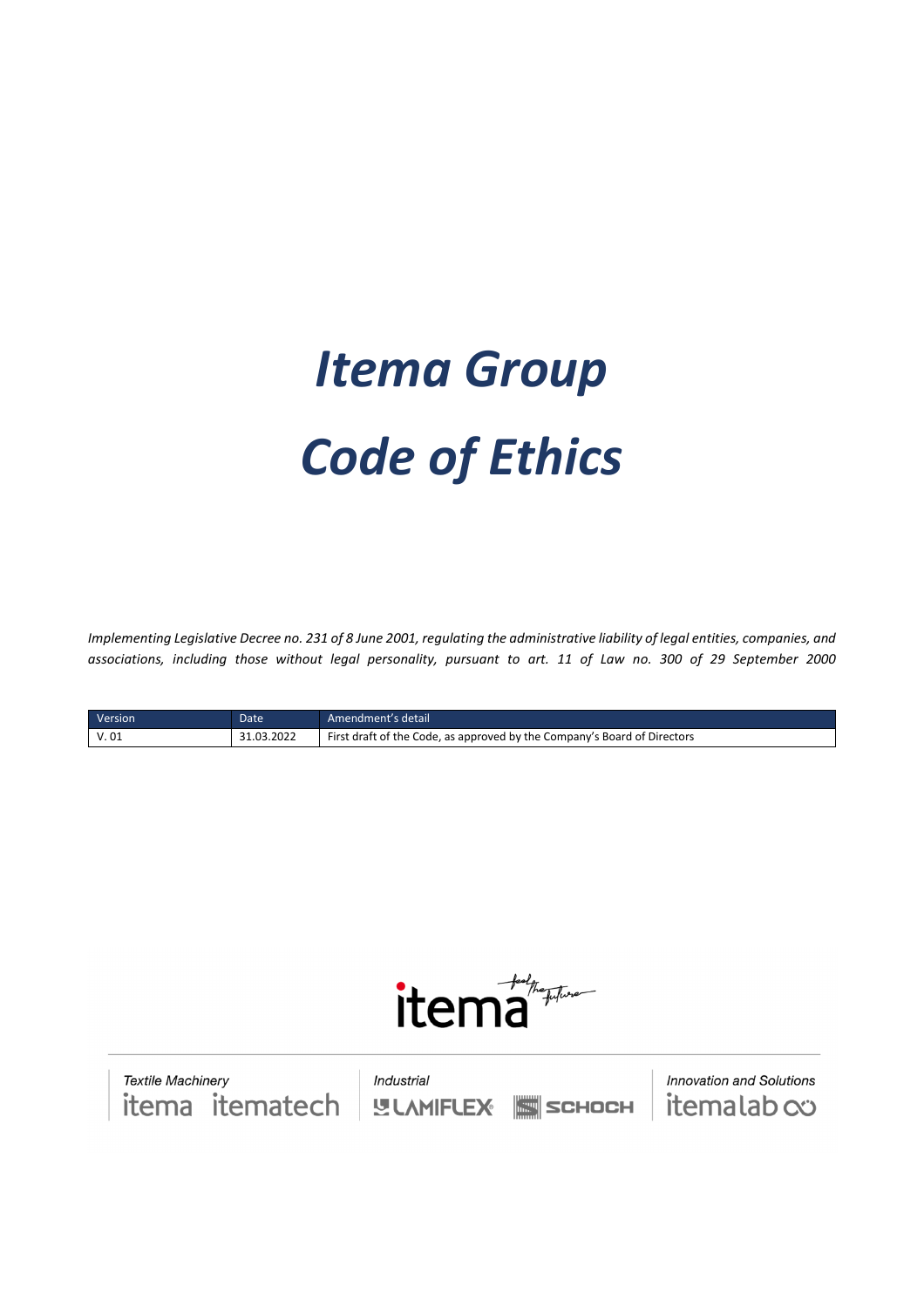# *Itema Group Code of Ethics*

*Implementing Legislative Decree no. 231 of 8 June 2001, regulating the administrative liability of legal entities, companies, and associations, including those without legal personality, pursuant to art. 11 of Law no. 300 of 29 September 2000* 

| Version. | Date       | LAmendment's detail                                                      |
|----------|------------|--------------------------------------------------------------------------|
| V. 01    | 31.03.2022 | First draft of the Code, as approved by the Company's Board of Directors |

itema<sup>+++</sup>

**Textile Machinery** Industrial **Innovation and Solutions** itema itematech | ULAMIFLEX itemalabco SCHOCH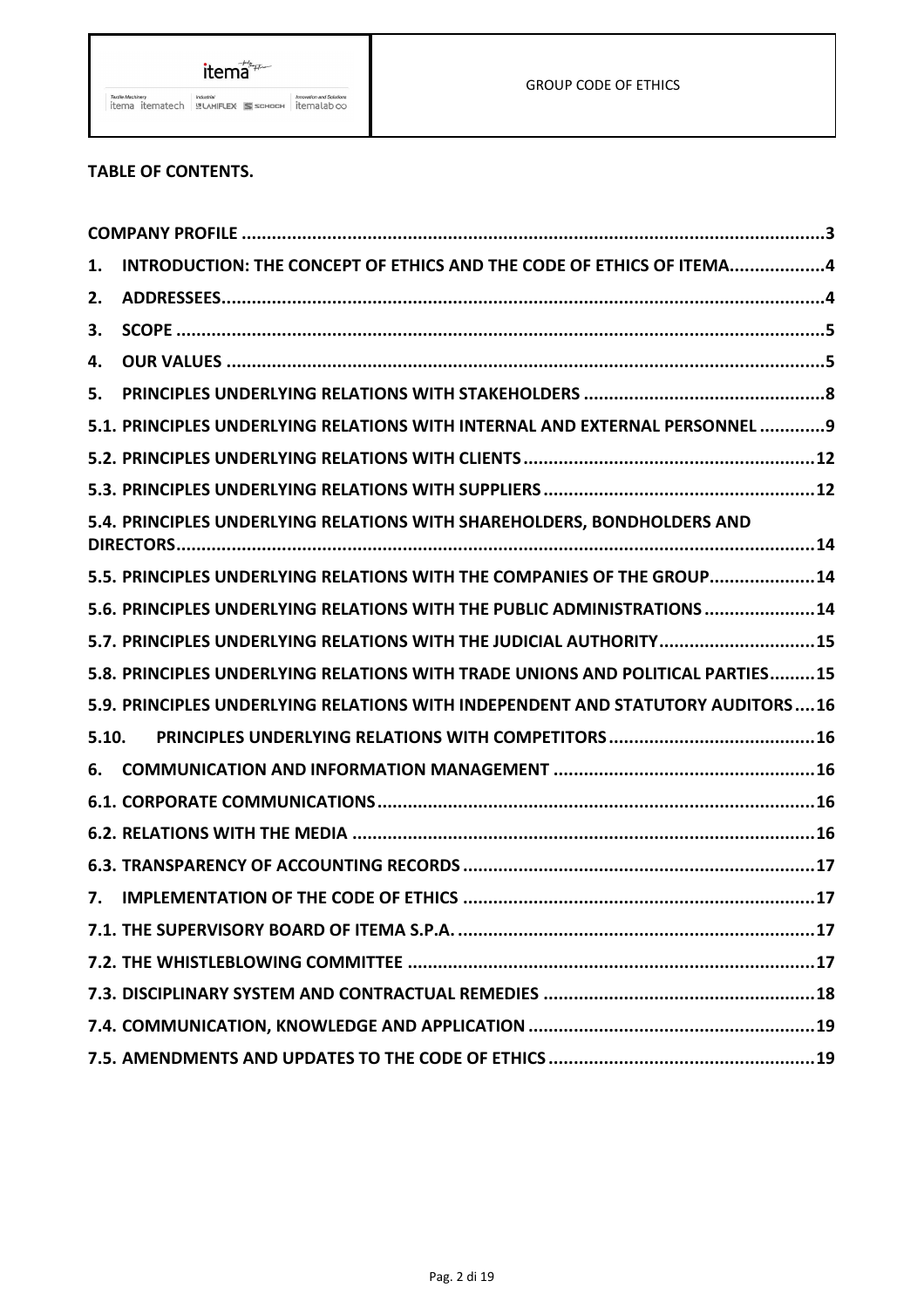

**TABLE OF CONTENTS.** 

| 1.    | INTRODUCTION: THE CONCEPT OF ETHICS AND THE CODE OF ETHICS OF ITEMA4           |
|-------|--------------------------------------------------------------------------------|
| 2.    |                                                                                |
| 3.    |                                                                                |
| 4.    |                                                                                |
| 5.    |                                                                                |
|       | 5.1. PRINCIPLES UNDERLYING RELATIONS WITH INTERNAL AND EXTERNAL PERSONNEL  9   |
|       |                                                                                |
|       |                                                                                |
|       | 5.4. PRINCIPLES UNDERLYING RELATIONS WITH SHAREHOLDERS, BONDHOLDERS AND        |
|       | 5.5. PRINCIPLES UNDERLYING RELATIONS WITH THE COMPANIES OF THE GROUP 14        |
|       | 5.6. PRINCIPLES UNDERLYING RELATIONS WITH THE PUBLIC ADMINISTRATIONS  14       |
|       | 5.7. PRINCIPLES UNDERLYING RELATIONS WITH THE JUDICIAL AUTHORITY15             |
|       | 5.8. PRINCIPLES UNDERLYING RELATIONS WITH TRADE UNIONS AND POLITICAL PARTIES15 |
|       | 5.9. PRINCIPLES UNDERLYING RELATIONS WITH INDEPENDENT AND STATUTORY AUDITORS16 |
| 5.10. |                                                                                |
| 6.    |                                                                                |
|       |                                                                                |
|       |                                                                                |
|       |                                                                                |
| 7.    |                                                                                |
|       |                                                                                |
|       |                                                                                |
|       |                                                                                |
|       |                                                                                |
|       |                                                                                |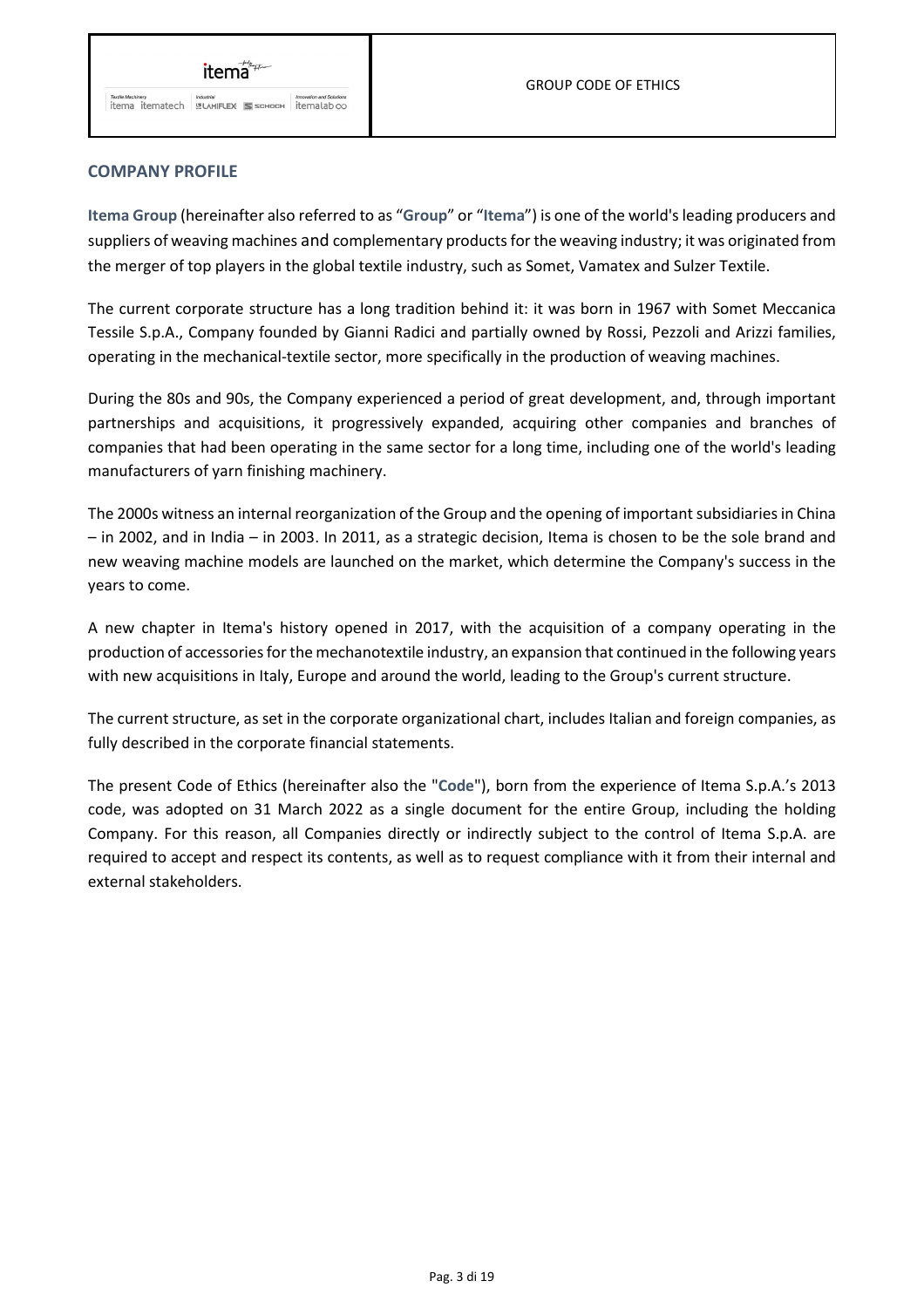#### **COMPANY PROFILE**

**Itema Group** (hereinafter also referred to as "**Group**" or "**Itema**") is one of the world's leading producers and suppliers of weaving machines and complementary products for the weaving industry; it was originated from the merger of top players in the global textile industry, such as Somet, Vamatex and Sulzer Textile.

The current corporate structure has a long tradition behind it: it was born in 1967 with Somet Meccanica Tessile S.p.A., Company founded by Gianni Radici and partially owned by Rossi, Pezzoli and Arizzi families, operating in the mechanical-textile sector, more specifically in the production of weaving machines.

During the 80s and 90s, the Company experienced a period of great development, and, through important partnerships and acquisitions, it progressively expanded, acquiring other companies and branches of companies that had been operating in the same sector for a long time, including one of the world's leading manufacturers of yarn finishing machinery.

The 2000s witness an internal reorganization of the Group and the opening of important subsidiaries in China – in 2002, and in India – in 2003. In 2011, as a strategic decision, Itema is chosen to be the sole brand and new weaving machine models are launched on the market, which determine the Company's success in the years to come.

A new chapter in Itema's history opened in 2017, with the acquisition of a company operating in the production of accessories for the mechanotextile industry, an expansion that continued in the following years with new acquisitions in Italy, Europe and around the world, leading to the Group's current structure.

The current structure, as set in the corporate organizational chart, includes Italian and foreign companies, as fully described in the corporate financial statements.

The present Code of Ethics (hereinafter also the "**Code**"), born from the experience of Itema S.p.A.'s 2013 code, was adopted on 31 March 2022 as a single document for the entire Group, including the holding Company. For this reason, all Companies directly or indirectly subject to the control of Itema S.p.A. are required to accept and respect its contents, as well as to request compliance with it from their internal and external stakeholders.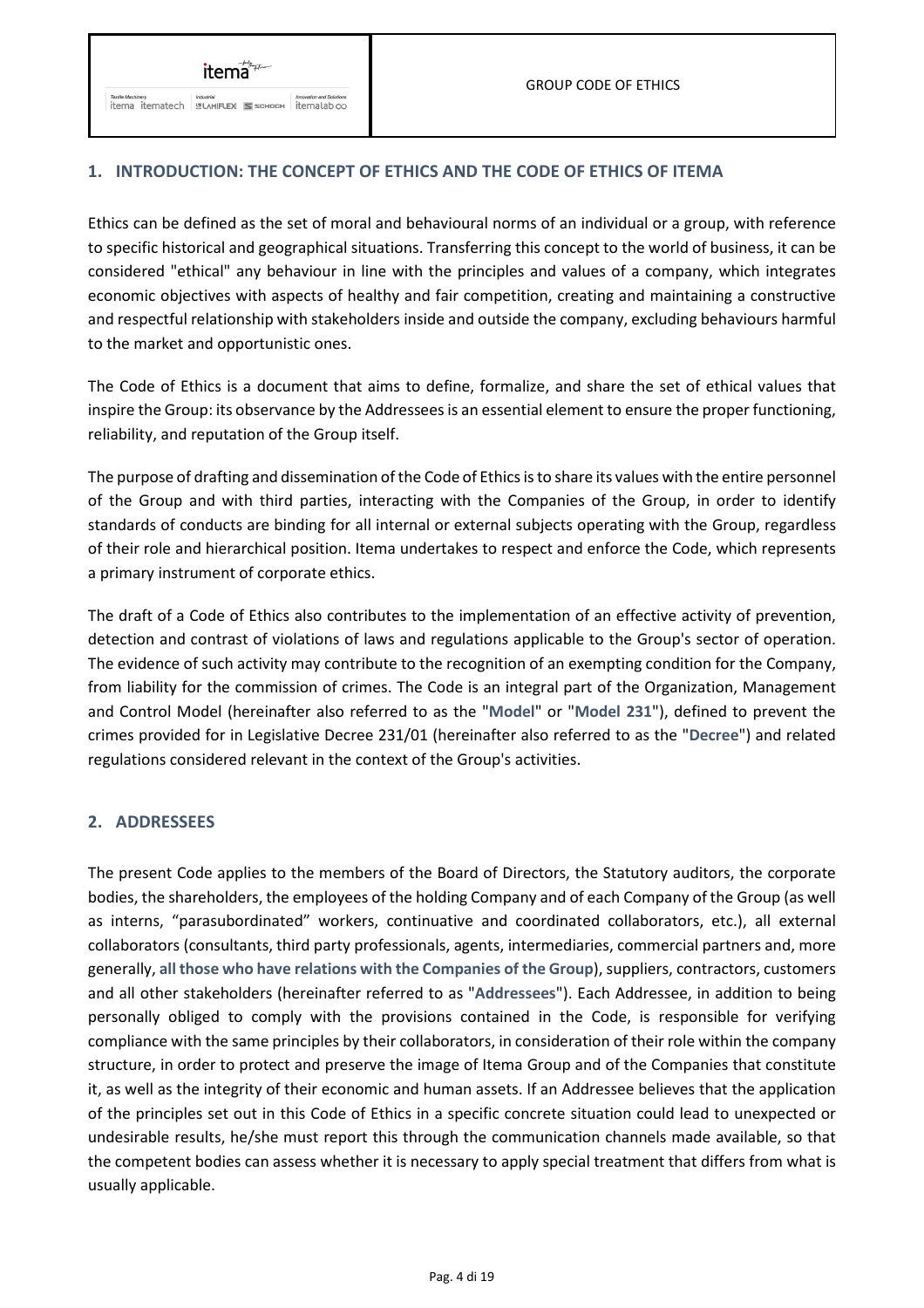Textile Machinery<br>itema itematech **y** LAMIFLEX **SOLUARE LATER** itemalaboo

#### **1. INTRODUCTION: THE CONCEPT OF ETHICS AND THE CODE OF ETHICS OF ITEMA**

Ethics can be defined as the set of moral and behavioural norms of an individual or a group, with reference to specific historical and geographical situations. Transferring this concept to the world of business, it can be considered "ethical" any behaviour in line with the principles and values of a company, which integrates economic objectives with aspects of healthy and fair competition, creating and maintaining a constructive and respectful relationship with stakeholders inside and outside the company, excluding behaviours harmful to the market and opportunistic ones.

The Code of Ethics is a document that aims to define, formalize, and share the set of ethical values that inspire the Group: its observance by the Addressees is an essential element to ensure the proper functioning, reliability, and reputation of the Group itself.

The purpose of drafting and dissemination of the Code of Ethics is to share its values with the entire personnel of the Group and with third parties, interacting with the Companies of the Group, in order to identify standards of conducts are binding for all internal or external subjects operating with the Group, regardless of their role and hierarchical position. Itema undertakes to respect and enforce the Code, which represents a primary instrument of corporate ethics.

The draft of a Code of Ethics also contributes to the implementation of an effective activity of prevention, detection and contrast of violations of laws and regulations applicable to the Group's sector of operation. The evidence of such activity may contribute to the recognition of an exempting condition for the Company, from liability for the commission of crimes. The Code is an integral part of the Organization, Management and Control Model (hereinafter also referred to as the "**Model**" or "**Model 231**"), defined to prevent the crimes provided for in Legislative Decree 231/01 (hereinafter also referred to as the "**Decree**") and related regulations considered relevant in the context of the Group's activities.

#### **2. ADDRESSEES**

The present Code applies to the members of the Board of Directors, the Statutory auditors, the corporate bodies, the shareholders, the employees of the holding Company and of each Company of the Group (as well as interns, "parasubordinated" workers, continuative and coordinated collaborators, etc.), all external collaborators (consultants, third party professionals, agents, intermediaries, commercial partners and, more generally, **all those who have relations with the Companies of the Group**), suppliers, contractors, customers and all other stakeholders (hereinafter referred to as "**Addressees**"). Each Addressee, in addition to being personally obliged to comply with the provisions contained in the Code, is responsible for verifying compliance with the same principles by their collaborators, in consideration of their role within the company structure, in order to protect and preserve the image of Itema Group and of the Companies that constitute it, as well as the integrity of their economic and human assets. If an Addressee believes that the application of the principles set out in this Code of Ethics in a specific concrete situation could lead to unexpected or undesirable results, he/she must report this through the communication channels made available, so that the competent bodies can assess whether it is necessary to apply special treatment that differs from what is usually applicable.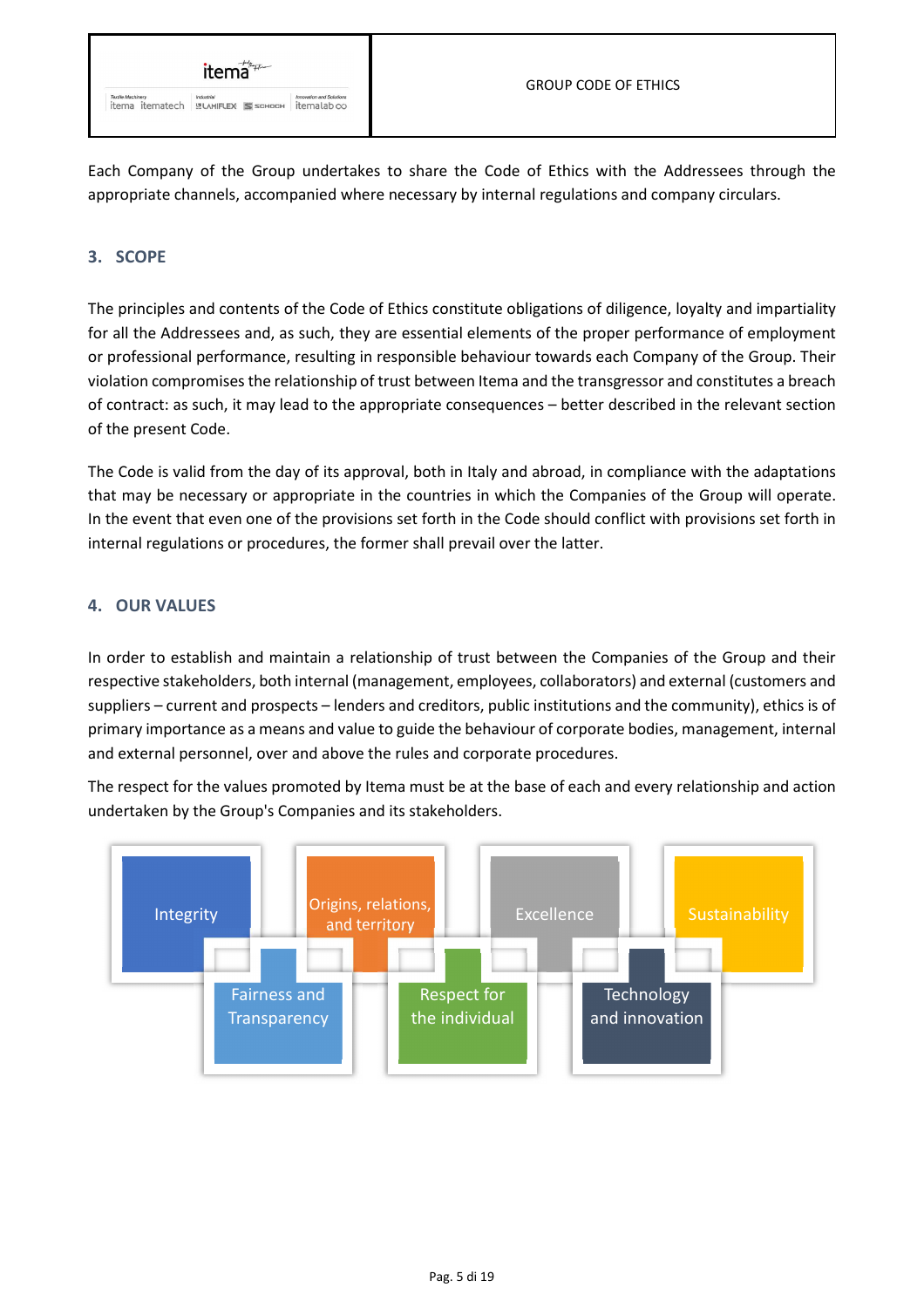

Each Company of the Group undertakes to share the Code of Ethics with the Addressees through the appropriate channels, accompanied where necessary by internal regulations and company circulars.

#### **3. SCOPE**

The principles and contents of the Code of Ethics constitute obligations of diligence, loyalty and impartiality for all the Addressees and, as such, they are essential elements of the proper performance of employment or professional performance, resulting in responsible behaviour towards each Company of the Group. Their violation compromises the relationship of trust between Itema and the transgressor and constitutes a breach of contract: as such, it may lead to the appropriate consequences – better described in the relevant section of the present Code.

The Code is valid from the day of its approval, both in Italy and abroad, in compliance with the adaptations that may be necessary or appropriate in the countries in which the Companies of the Group will operate. In the event that even one of the provisions set forth in the Code should conflict with provisions set forth in internal regulations or procedures, the former shall prevail over the latter.

#### **4. OUR VALUES**

In order to establish and maintain a relationship of trust between the Companies of the Group and their respective stakeholders, both internal (management, employees, collaborators) and external (customers and suppliers – current and prospects – lenders and creditors, public institutions and the community), ethics is of primary importance as a means and value to guide the behaviour of corporate bodies, management, internal and external personnel, over and above the rules and corporate procedures.

The respect for the values promoted by Itema must be at the base of each and every relationship and action undertaken by the Group's Companies and its stakeholders.

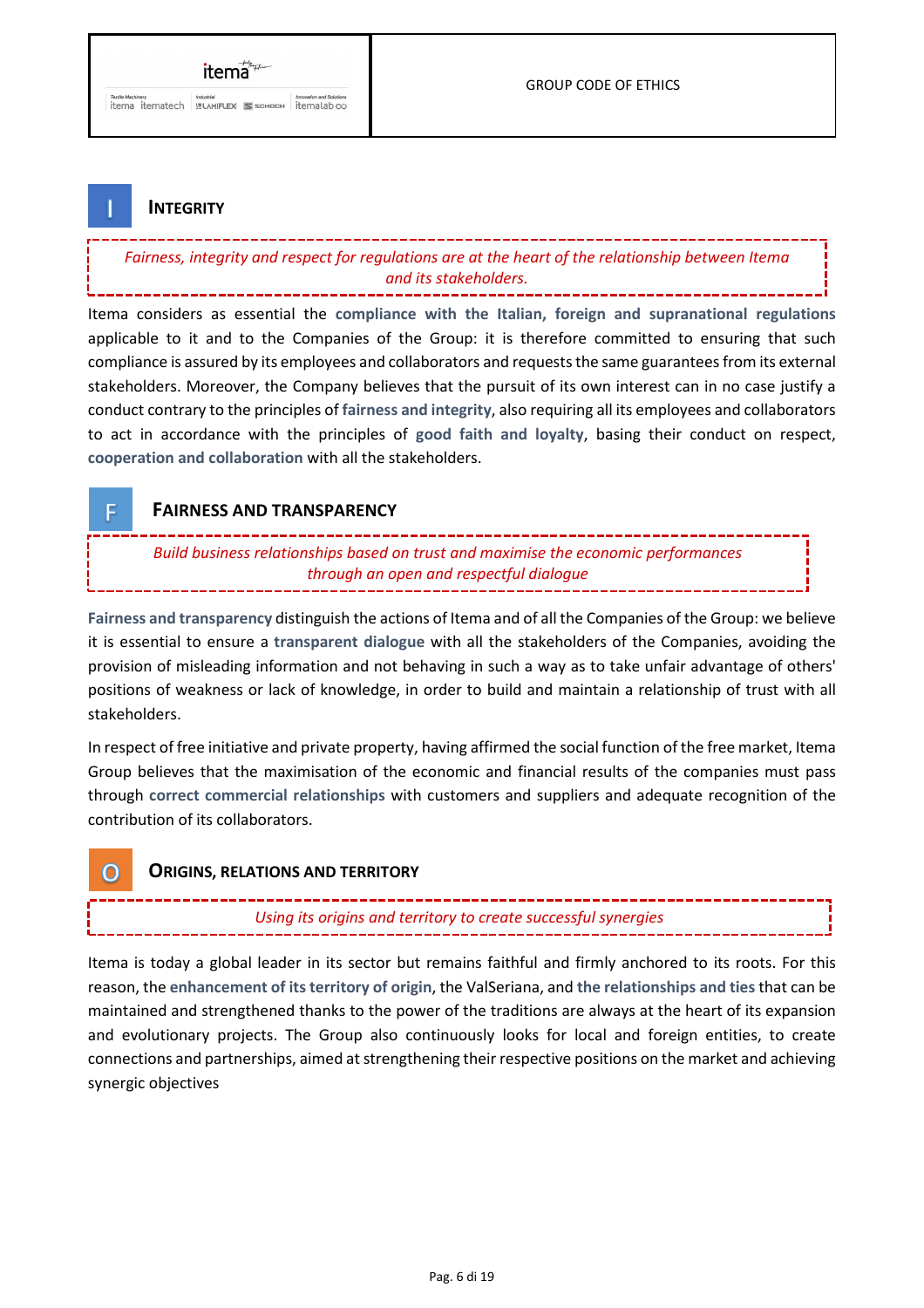#### **INTEGRITY**

#### *Fairness, integrity and respect for regulations are at the heart of the relationship between Itema and its stakeholders.*

Itema considers as essential the **compliance with the Italian, foreign and supranational regulations** applicable to it and to the Companies of the Group: it is therefore committed to ensuring that such compliance is assured by its employees and collaborators and requests the same guarantees from its external stakeholders. Moreover, the Company believes that the pursuit of its own interest can in no case justify a conduct contrary to the principles of **fairness and integrity**, also requiring all its employees and collaborators to act in accordance with the principles of **good faith and loyalty**, basing their conduct on respect, **cooperation and collaboration** with all the stakeholders.

#### **FAIRNESS AND TRANSPARENCY**

*Build business relationships based on trust and maximise the economic performances through an open and respectful dialogue* 

**Fairness and transparency** distinguish the actions of Itema and of all the Companies of the Group: we believe it is essential to ensure a **transparent dialogue** with all the stakeholders of the Companies, avoiding the provision of misleading information and not behaving in such a way as to take unfair advantage of others' positions of weakness or lack of knowledge, in order to build and maintain a relationship of trust with all stakeholders.

In respect of free initiative and private property, having affirmed the social function of the free market, Itema Group believes that the maximisation of the economic and financial results of the companies must pass through **correct commercial relationships** with customers and suppliers and adequate recognition of the contribution of its collaborators.

### O

E

#### **ORIGINS, RELATIONS AND TERRITORY**

*Using its origins and territory to create successful synergies*

Itema is today a global leader in its sector but remains faithful and firmly anchored to its roots. For this reason, the **enhancement of its territory of origin**, the ValSeriana, and **the relationships and ties** that can be maintained and strengthened thanks to the power of the traditions are always at the heart of its expansion and evolutionary projects. The Group also continuously looks for local and foreign entities, to create connections and partnerships, aimed at strengthening their respective positions on the market and achieving synergic objectives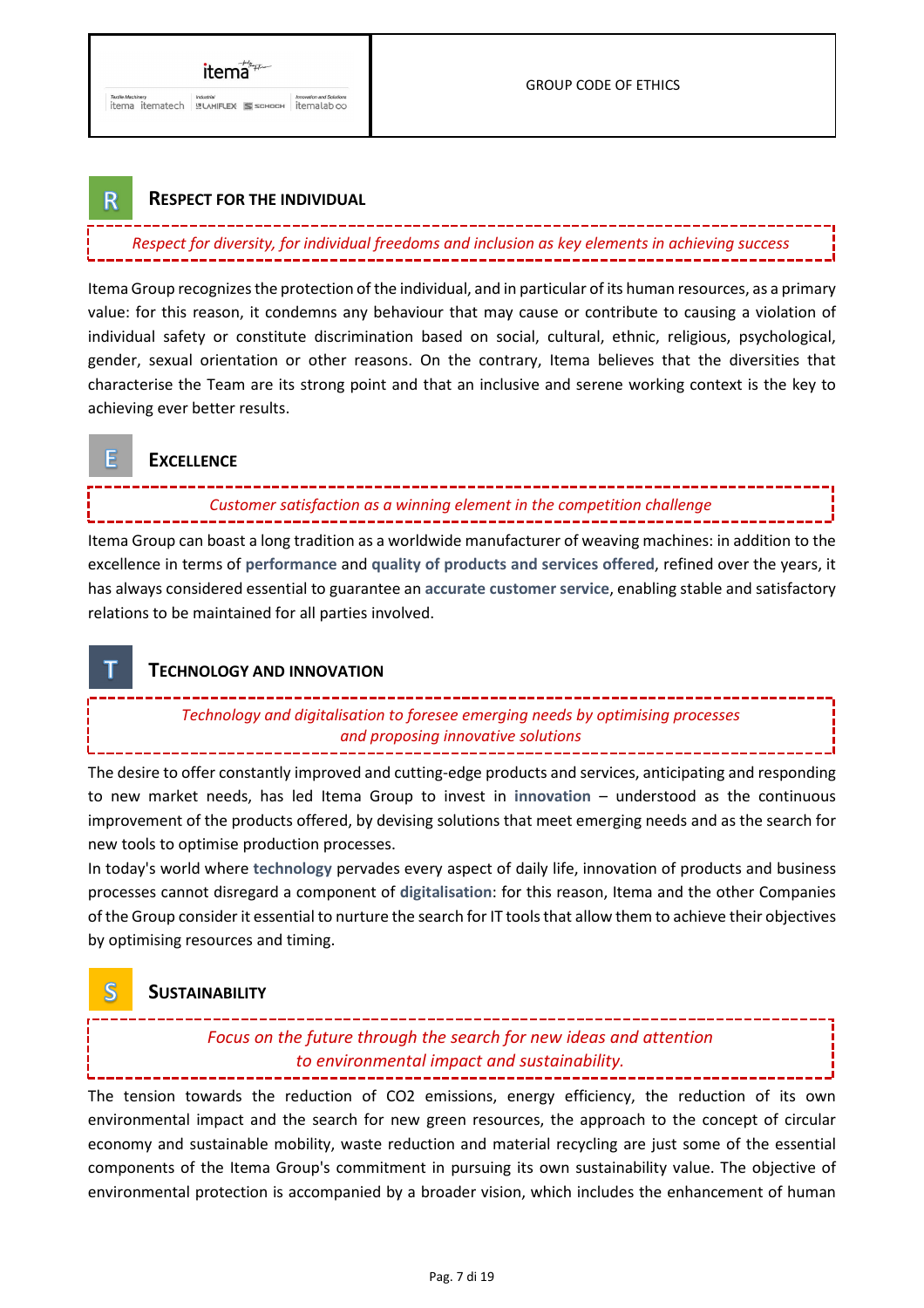

#### $\overline{\mathbf{R}}$ **RESPECT FOR THE INDIVIDUAL**

*Respect for diversity, for individual freedoms and inclusion as key elements in achieving success*

Itema Group recognizes the protection of the individual, and in particular of its human resources, as a primary value: for this reason, it condemns any behaviour that may cause or contribute to causing a violation of individual safety or constitute discrimination based on social, cultural, ethnic, religious, psychological, gender, sexual orientation or other reasons. On the contrary, Itema believes that the diversities that characterise the Team are its strong point and that an inclusive and serene working context is the key to achieving ever better results.

#### **EXCELLENCE**

E

#### *Customer satisfaction as a winning element in the competition challenge* ----------------------------------

Itema Group can boast a long tradition as a worldwide manufacturer of weaving machines: in addition to the excellence in terms of **performance** and **quality of products and services offered**, refined over the years, it has always considered essential to guarantee an **accurate customer service**, enabling stable and satisfactory relations to be maintained for all parties involved.

#### **TECHNOLOGY AND INNOVATION**

*Technology and digitalisation to foresee emerging needs by optimising processes and proposing innovative solutions* 

The desire to offer constantly improved and cutting-edge products and services, anticipating and responding to new market needs, has led Itema Group to invest in **innovation** – understood as the continuous improvement of the products offered, by devising solutions that meet emerging needs and as the search for new tools to optimise production processes.

In today's world where **technology** pervades every aspect of daily life, innovation of products and business processes cannot disregard a component of **digitalisation**: for this reason, Itema and the other Companies of the Group consider it essential to nurture the search for IT tools that allow them to achieve their objectives by optimising resources and timing.

#### **SUSTAINABILITY**

S

#### *Focus on the future through the search for new ideas and attention to environmental impact and sustainability.*

The tension towards the reduction of CO2 emissions, energy efficiency, the reduction of its own environmental impact and the search for new green resources, the approach to the concept of circular economy and sustainable mobility, waste reduction and material recycling are just some of the essential components of the Itema Group's commitment in pursuing its own sustainability value. The objective of environmental protection is accompanied by a broader vision, which includes the enhancement of human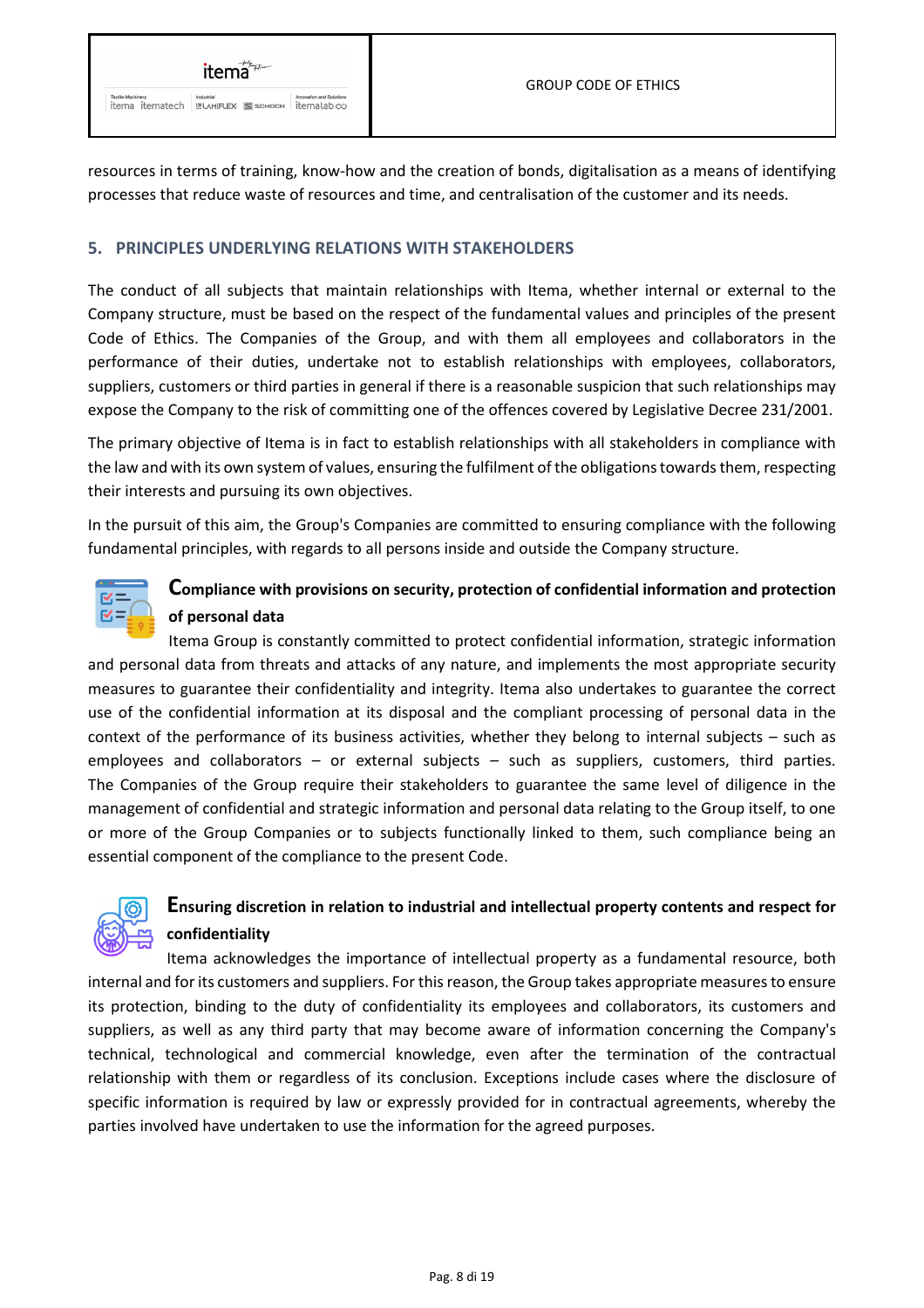

resources in terms of training, know-how and the creation of bonds, digitalisation as a means of identifying processes that reduce waste of resources and time, and centralisation of the customer and its needs.

#### **5. PRINCIPLES UNDERLYING RELATIONS WITH STAKEHOLDERS**

The conduct of all subjects that maintain relationships with Itema, whether internal or external to the Company structure, must be based on the respect of the fundamental values and principles of the present Code of Ethics. The Companies of the Group, and with them all employees and collaborators in the performance of their duties, undertake not to establish relationships with employees, collaborators, suppliers, customers or third parties in general if there is a reasonable suspicion that such relationships may expose the Company to the risk of committing one of the offences covered by Legislative Decree 231/2001.

The primary objective of Itema is in fact to establish relationships with all stakeholders in compliance with the law and with its own system of values, ensuring the fulfilment of the obligations towards them, respecting their interests and pursuing its own objectives.

In the pursuit of this aim, the Group's Companies are committed to ensuring compliance with the following fundamental principles, with regards to all persons inside and outside the Company structure.



#### **Compliance with provisions on security, protection of confidential information and protection of personal data**

Itema Group is constantly committed to protect confidential information, strategic information and personal data from threats and attacks of any nature, and implements the most appropriate security measures to guarantee their confidentiality and integrity. Itema also undertakes to guarantee the correct use of the confidential information at its disposal and the compliant processing of personal data in the context of the performance of its business activities, whether they belong to internal subjects – such as employees and collaborators – or external subjects – such as suppliers, customers, third parties. The Companies of the Group require their stakeholders to guarantee the same level of diligence in the management of confidential and strategic information and personal data relating to the Group itself, to one or more of the Group Companies or to subjects functionally linked to them, such compliance being an essential component of the compliance to the present Code.



#### **Ensuring discretion in relation to industrial and intellectual property contents and respect for confidentiality**

Itema acknowledges the importance of intellectual property as a fundamental resource, both internal and for its customers and suppliers. For this reason, the Group takes appropriate measures to ensure its protection, binding to the duty of confidentiality its employees and collaborators, its customers and suppliers, as well as any third party that may become aware of information concerning the Company's technical, technological and commercial knowledge, even after the termination of the contractual relationship with them or regardless of its conclusion. Exceptions include cases where the disclosure of specific information is required by law or expressly provided for in contractual agreements, whereby the parties involved have undertaken to use the information for the agreed purposes.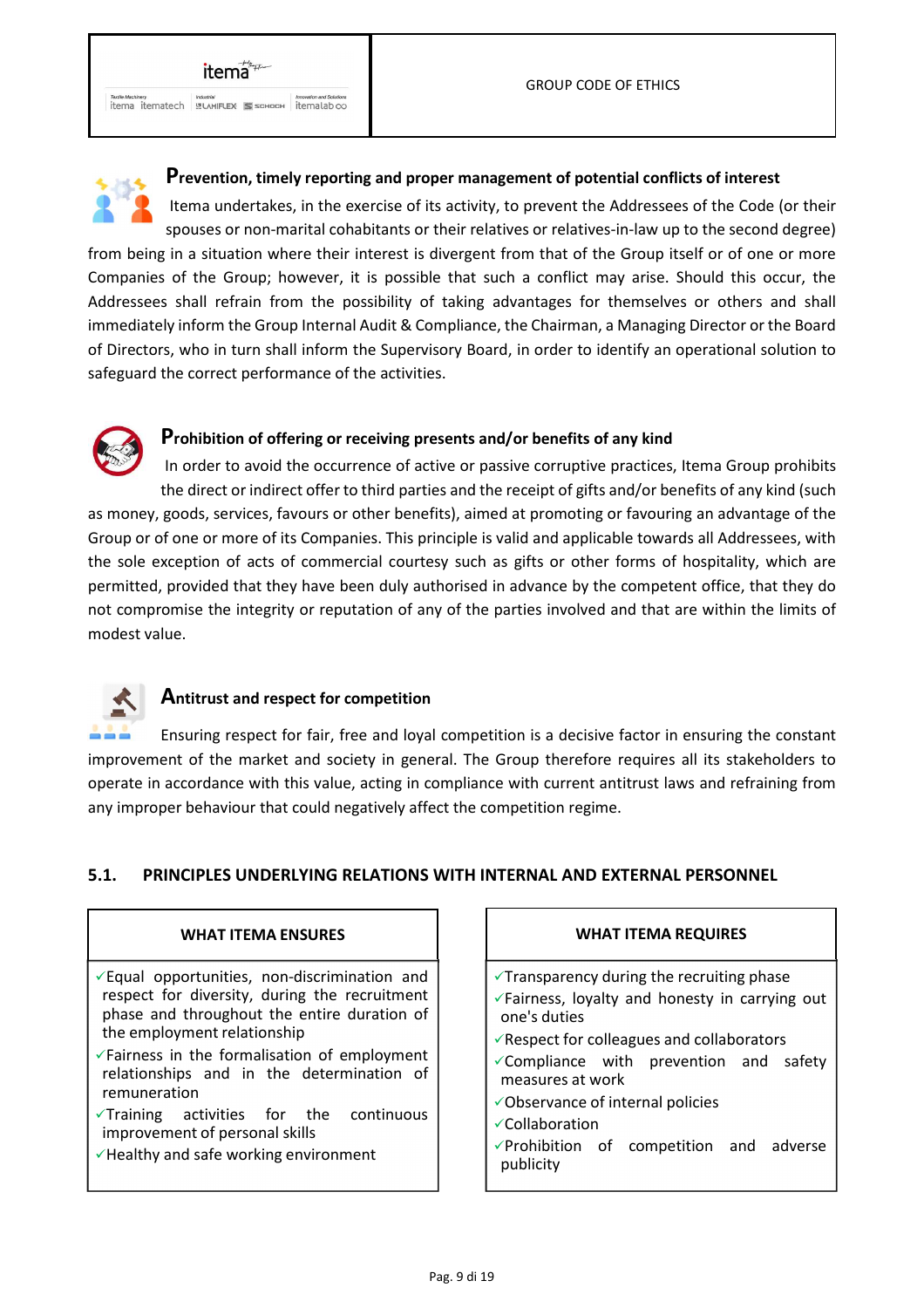Textile Machinery<br>itema itematech **y** LAMIFLEX **SOLUARE LATER** itemalaboo



#### **Prevention, timely reporting and proper management of potential conflicts of interest**

 Itema undertakes, in the exercise of its activity, to prevent the Addressees of the Code (or their spouses or non-marital cohabitants or their relatives or relatives-in-law up to the second degree) from being in a situation where their interest is divergent from that of the Group itself or of one or more Companies of the Group; however, it is possible that such a conflict may arise. Should this occur, the Addressees shall refrain from the possibility of taking advantages for themselves or others and shall immediately inform the Group Internal Audit & Compliance, the Chairman, a Managing Director or the Board of Directors, who in turn shall inform the Supervisory Board, in order to identify an operational solution to safeguard the correct performance of the activities.

#### **Prohibition of offering or receiving presents and/or benefits of any kind**

In order to avoid the occurrence of active or passive corruptive practices, Itema Group prohibits the direct or indirect offer to third parties and the receipt of gifts and/or benefits of any kind (such as money, goods, services, favours or other benefits), aimed at promoting or favouring an advantage of the Group or of one or more of its Companies. This principle is valid and applicable towards all Addressees, with the sole exception of acts of commercial courtesy such as gifts or other forms of hospitality, which are permitted, provided that they have been duly authorised in advance by the competent office, that they do not compromise the integrity or reputation of any of the parties involved and that are within the limits of modest value.



#### **Antitrust and respect for competition**

Ensuring respect for fair, free and loyal competition is a decisive factor in ensuring the constant improvement of the market and society in general. The Group therefore requires all its stakeholders to operate in accordance with this value, acting in compliance with current antitrust laws and refraining from any improper behaviour that could negatively affect the competition regime.

#### **5.1. PRINCIPLES UNDERLYING RELATIONS WITH INTERNAL AND EXTERNAL PERSONNEL**

#### **WHAT ITEMA ENSURES**

- $\checkmark$  Equal opportunities, non-discrimination and respect for diversity, during the recruitment phase and throughout the entire duration of the employment relationship
- Fairness in the formalisation of employment relationships and in the determination of remuneration
- $\sqrt{T}$ Training activities for the continuous improvement of personal skills
- $\checkmark$  Healthy and safe working environment

#### **WHAT ITEMA REQUIRES**

- $\sqrt{T}$ ransparency during the recruiting phase
- Fairness, loyalty and honesty in carrying out one's duties
- Respect for colleagues and collaborators
- Compliance with prevention and safety measures at work
- Observance of internal policies
- Collaboration
- $\sqrt{P}$ Prohibition of competition and adverse publicity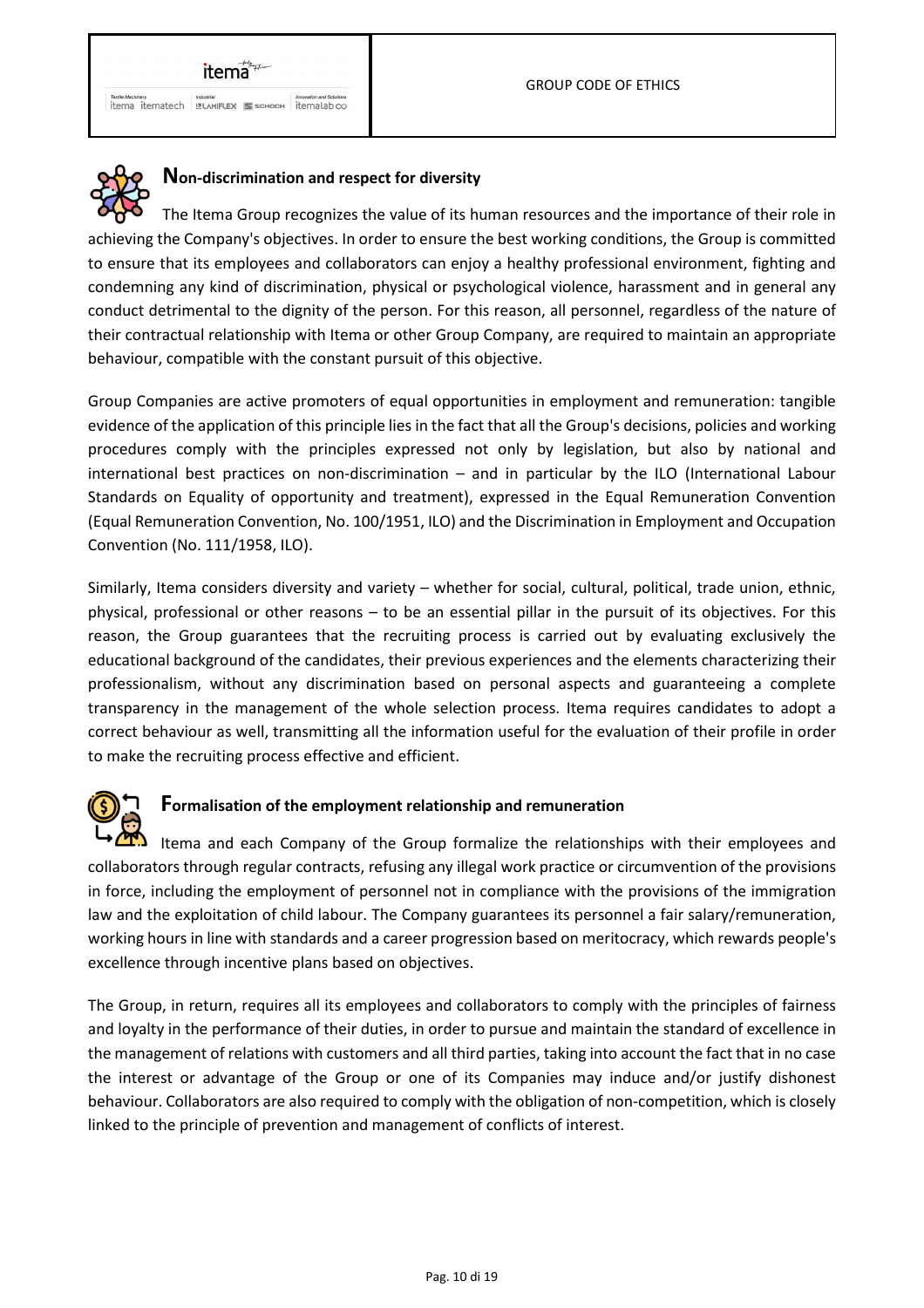Textile Machinery<br>itema itematech **substrial** ELAMIFLEX **Examples in the manufacturer** 



#### **Non-discrimination and respect for diversity**

The Itema Group recognizes the value of its human resources and the importance of their role in achieving the Company's objectives. In order to ensure the best working conditions, the Group is committed to ensure that its employees and collaborators can enjoy a healthy professional environment, fighting and condemning any kind of discrimination, physical or psychological violence, harassment and in general any conduct detrimental to the dignity of the person. For this reason, all personnel, regardless of the nature of their contractual relationship with Itema or other Group Company, are required to maintain an appropriate behaviour, compatible with the constant pursuit of this objective.

Group Companies are active promoters of equal opportunities in employment and remuneration: tangible evidence of the application of this principle lies in the fact that all the Group's decisions, policies and working procedures comply with the principles expressed not only by legislation, but also by national and international best practices on non-discrimination – and in particular by the ILO (International Labour Standards on Equality of opportunity and treatment), expressed in the Equal Remuneration Convention (Equal Remuneration Convention, No. 100/1951, ILO) and the Discrimination in Employment and Occupation Convention (No. 111/1958, ILO).

Similarly, Itema considers diversity and variety – whether for social, cultural, political, trade union, ethnic, physical, professional or other reasons – to be an essential pillar in the pursuit of its objectives. For this reason, the Group guarantees that the recruiting process is carried out by evaluating exclusively the educational background of the candidates, their previous experiences and the elements characterizing their professionalism, without any discrimination based on personal aspects and guaranteeing a complete transparency in the management of the whole selection process. Itema requires candidates to adopt a correct behaviour as well, transmitting all the information useful for the evaluation of their profile in order to make the recruiting process effective and efficient.



#### **Formalisation of the employment relationship and remuneration**

**HA** Itema and each Company of the Group formalize the relationships with their employees and collaborators through regular contracts, refusing any illegal work practice or circumvention of the provisions in force, including the employment of personnel not in compliance with the provisions of the immigration law and the exploitation of child labour. The Company guarantees its personnel a fair salary/remuneration, working hours in line with standards and a career progression based on meritocracy, which rewards people's excellence through incentive plans based on objectives.

The Group, in return, requires all its employees and collaborators to comply with the principles of fairness and loyalty in the performance of their duties, in order to pursue and maintain the standard of excellence in the management of relations with customers and all third parties, taking into account the fact that in no case the interest or advantage of the Group or one of its Companies may induce and/or justify dishonest behaviour. Collaborators are also required to comply with the obligation of non-competition, which is closely linked to the principle of prevention and management of conflicts of interest.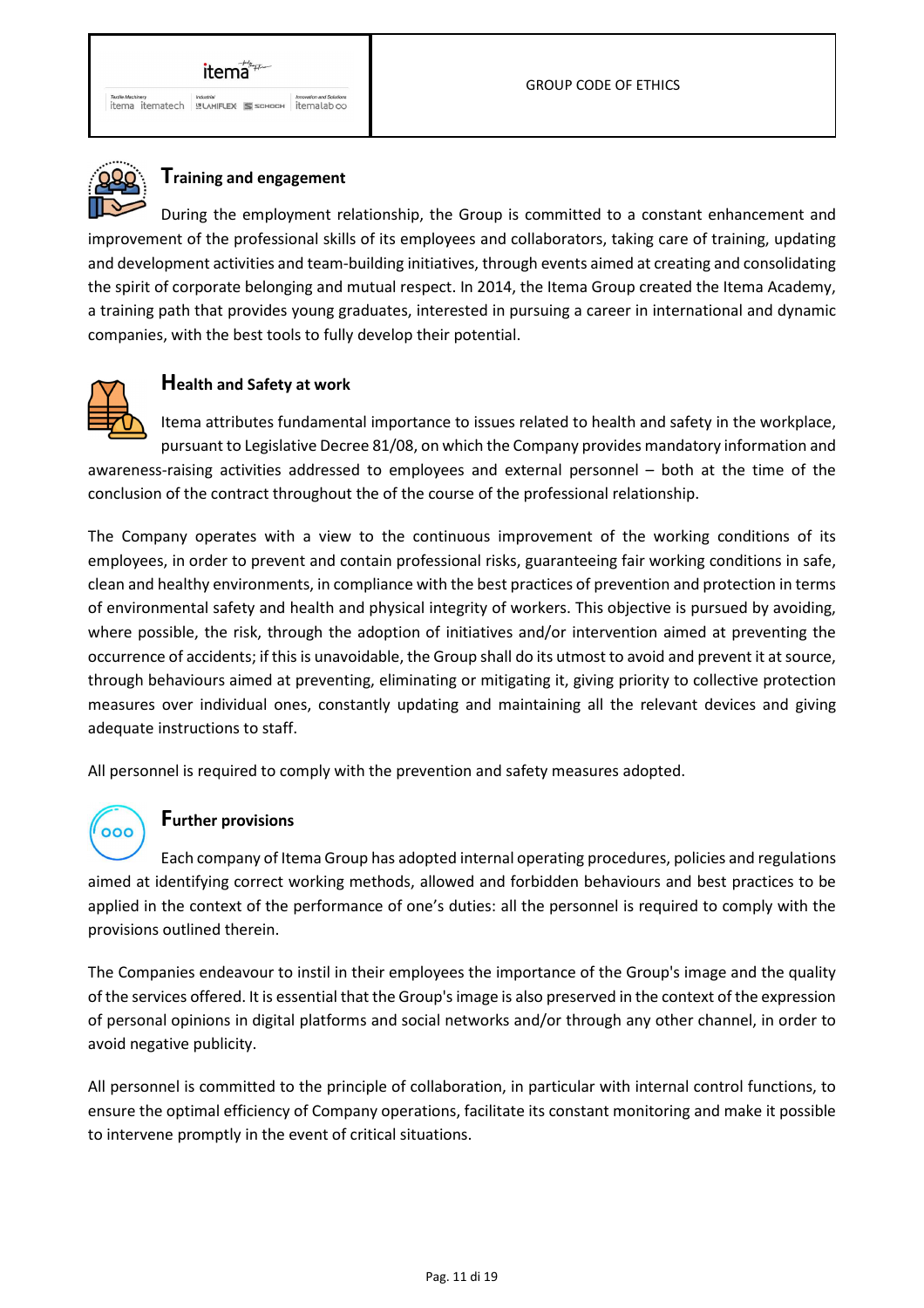Textile Machinery<br>itema itematech **substrial** ELAMIFLEX **Examples in the manufacturer** 



#### **Training and engagement**

During the employment relationship, the Group is committed to a constant enhancement and improvement of the professional skills of its employees and collaborators, taking care of training, updating and development activities and team-building initiatives, through events aimed at creating and consolidating the spirit of corporate belonging and mutual respect. In 2014, the Itema Group created the Itema Academy, a training path that provides young graduates, interested in pursuing a career in international and dynamic companies, with the best tools to fully develop their potential.



#### **Health and Safety at work**

Itema attributes fundamental importance to issues related to health and safety in the workplace, pursuant to Legislative Decree 81/08, on which the Company provides mandatory information and awareness-raising activities addressed to employees and external personnel – both at the time of the conclusion of the contract throughout the of the course of the professional relationship.

The Company operates with a view to the continuous improvement of the working conditions of its employees, in order to prevent and contain professional risks, guaranteeing fair working conditions in safe, clean and healthy environments, in compliance with the best practices of prevention and protection in terms of environmental safety and health and physical integrity of workers. This objective is pursued by avoiding, where possible, the risk, through the adoption of initiatives and/or intervention aimed at preventing the occurrence of accidents; if this is unavoidable, the Group shall do its utmost to avoid and prevent it at source, through behaviours aimed at preventing, eliminating or mitigating it, giving priority to collective protection measures over individual ones, constantly updating and maintaining all the relevant devices and giving adequate instructions to staff.

All personnel is required to comply with the prevention and safety measures adopted.

## 000

#### **Further provisions**

Each company of Itema Group has adopted internal operating procedures, policies and regulations aimed at identifying correct working methods, allowed and forbidden behaviours and best practices to be applied in the context of the performance of one's duties: all the personnel is required to comply with the provisions outlined therein.

The Companies endeavour to instil in their employees the importance of the Group's image and the quality of the services offered. It is essential that the Group's image is also preserved in the context of the expression of personal opinions in digital platforms and social networks and/or through any other channel, in order to avoid negative publicity.

All personnel is committed to the principle of collaboration, in particular with internal control functions, to ensure the optimal efficiency of Company operations, facilitate its constant monitoring and make it possible to intervene promptly in the event of critical situations.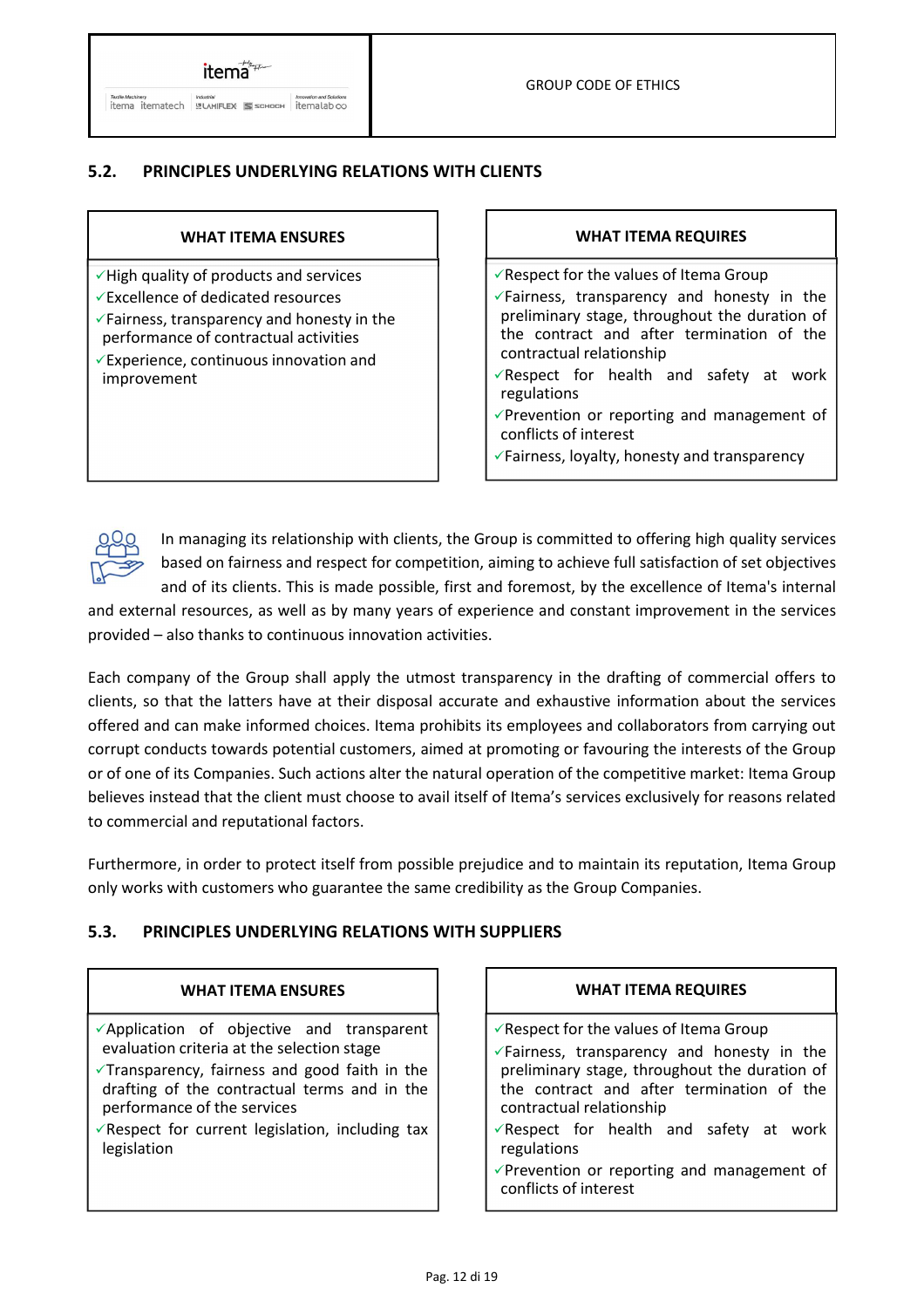

#### **5.2. PRINCIPLES UNDERLYING RELATIONS WITH CLIENTS**

#### **WHAT ITEMA ENSURES**

- $\checkmark$  High quality of products and services
- Excellence of dedicated resources
- $\checkmark$  Fairness, transparency and honesty in the performance of contractual activities
- Experience, continuous innovation and improvement

#### **WHAT ITEMA REQUIRES**

- $\checkmark$  Respect for the values of Itema Group
- $\checkmark$ Fairness, transparency and honesty in the preliminary stage, throughout the duration of the contract and after termination of the contractual relationship
- $\sqrt{R}$  Respect for health and safety at work regulations
- Prevention or reporting and management of conflicts of interest
- Fairness, loyalty, honesty and transparency



In managing its relationship with clients, the Group is committed to offering high quality services based on fairness and respect for competition, aiming to achieve full satisfaction of set objectives and of its clients. This is made possible, first and foremost, by the excellence of Itema's internal

and external resources, as well as by many years of experience and constant improvement in the services provided – also thanks to continuous innovation activities.

Each company of the Group shall apply the utmost transparency in the drafting of commercial offers to clients, so that the latters have at their disposal accurate and exhaustive information about the services offered and can make informed choices. Itema prohibits its employees and collaborators from carrying out corrupt conducts towards potential customers, aimed at promoting or favouring the interests of the Group or of one of its Companies. Such actions alter the natural operation of the competitive market: Itema Group believes instead that the client must choose to avail itself of Itema's services exclusively for reasons related to commercial and reputational factors.

Furthermore, in order to protect itself from possible prejudice and to maintain its reputation, Itema Group only works with customers who guarantee the same credibility as the Group Companies.

#### **5.3. PRINCIPLES UNDERLYING RELATIONS WITH SUPPLIERS**

| <b>WHAT ITEMA ENSURES</b>                                                                                                               |
|-----------------------------------------------------------------------------------------------------------------------------------------|
| √Application of objective and transparent<br>evaluation criteria at the selection stage                                                 |
| $\sqrt{\ }$ Transparency, fairness and good faith in the<br>drafting of the contractual terms and in the<br>performance of the services |

 $\sqrt{\frac{F}{C}}$  Respect for current legislation, including tax legislation

#### **WHAT ITEMA REQUIRES**

- $\checkmark$  Respect for the values of Itema Group
- $\checkmark$ Fairness, transparency and honesty in the preliminary stage, throughout the duration of the contract and after termination of the contractual relationship
- $\sqrt{R}$  Respect for health and safety at work regulations
- $\sqrt{P}$  Prevention or reporting and management of conflicts of interest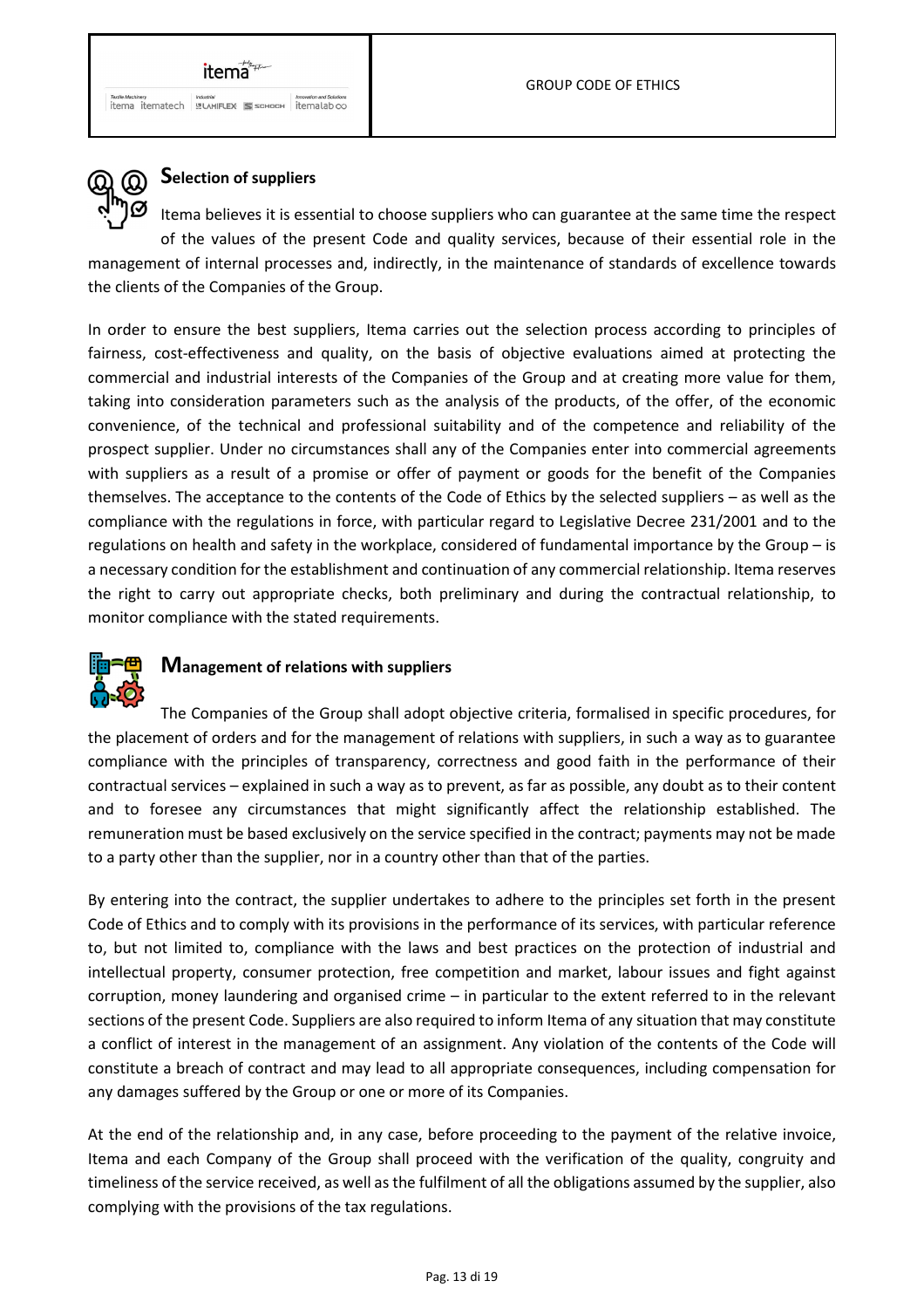Textile Machinery<br>itema itematech **y** LAMIFLEX **SOLUARE LATER** itemalaboo



#### **Selection of suppliers**

Itema believes it is essential to choose suppliers who can guarantee at the same time the respect of the values of the present Code and quality services, because of their essential role in the management of internal processes and, indirectly, in the maintenance of standards of excellence towards the clients of the Companies of the Group.

In order to ensure the best suppliers, Itema carries out the selection process according to principles of fairness, cost-effectiveness and quality, on the basis of objective evaluations aimed at protecting the commercial and industrial interests of the Companies of the Group and at creating more value for them, taking into consideration parameters such as the analysis of the products, of the offer, of the economic convenience, of the technical and professional suitability and of the competence and reliability of the prospect supplier. Under no circumstances shall any of the Companies enter into commercial agreements with suppliers as a result of a promise or offer of payment or goods for the benefit of the Companies themselves. The acceptance to the contents of the Code of Ethics by the selected suppliers – as well as the compliance with the regulations in force, with particular regard to Legislative Decree 231/2001 and to the regulations on health and safety in the workplace, considered of fundamental importance by the Group – is a necessary condition for the establishment and continuation of any commercial relationship. Itema reserves the right to carry out appropriate checks, both preliminary and during the contractual relationship, to monitor compliance with the stated requirements.



#### **Management of relations with suppliers**

The Companies of the Group shall adopt objective criteria, formalised in specific procedures, for the placement of orders and for the management of relations with suppliers, in such a way as to guarantee compliance with the principles of transparency, correctness and good faith in the performance of their contractual services – explained in such a way as to prevent, as far as possible, any doubt as to their content and to foresee any circumstances that might significantly affect the relationship established. The remuneration must be based exclusively on the service specified in the contract; payments may not be made to a party other than the supplier, nor in a country other than that of the parties.

By entering into the contract, the supplier undertakes to adhere to the principles set forth in the present Code of Ethics and to comply with its provisions in the performance of its services, with particular reference to, but not limited to, compliance with the laws and best practices on the protection of industrial and intellectual property, consumer protection, free competition and market, labour issues and fight against corruption, money laundering and organised crime – in particular to the extent referred to in the relevant sections of the present Code. Suppliers are also required to inform Itema of any situation that may constitute a conflict of interest in the management of an assignment. Any violation of the contents of the Code will constitute a breach of contract and may lead to all appropriate consequences, including compensation for any damages suffered by the Group or one or more of its Companies.

At the end of the relationship and, in any case, before proceeding to the payment of the relative invoice, Itema and each Company of the Group shall proceed with the verification of the quality, congruity and timeliness of the service received, as well as the fulfilment of all the obligations assumed by the supplier, also complying with the provisions of the tax regulations.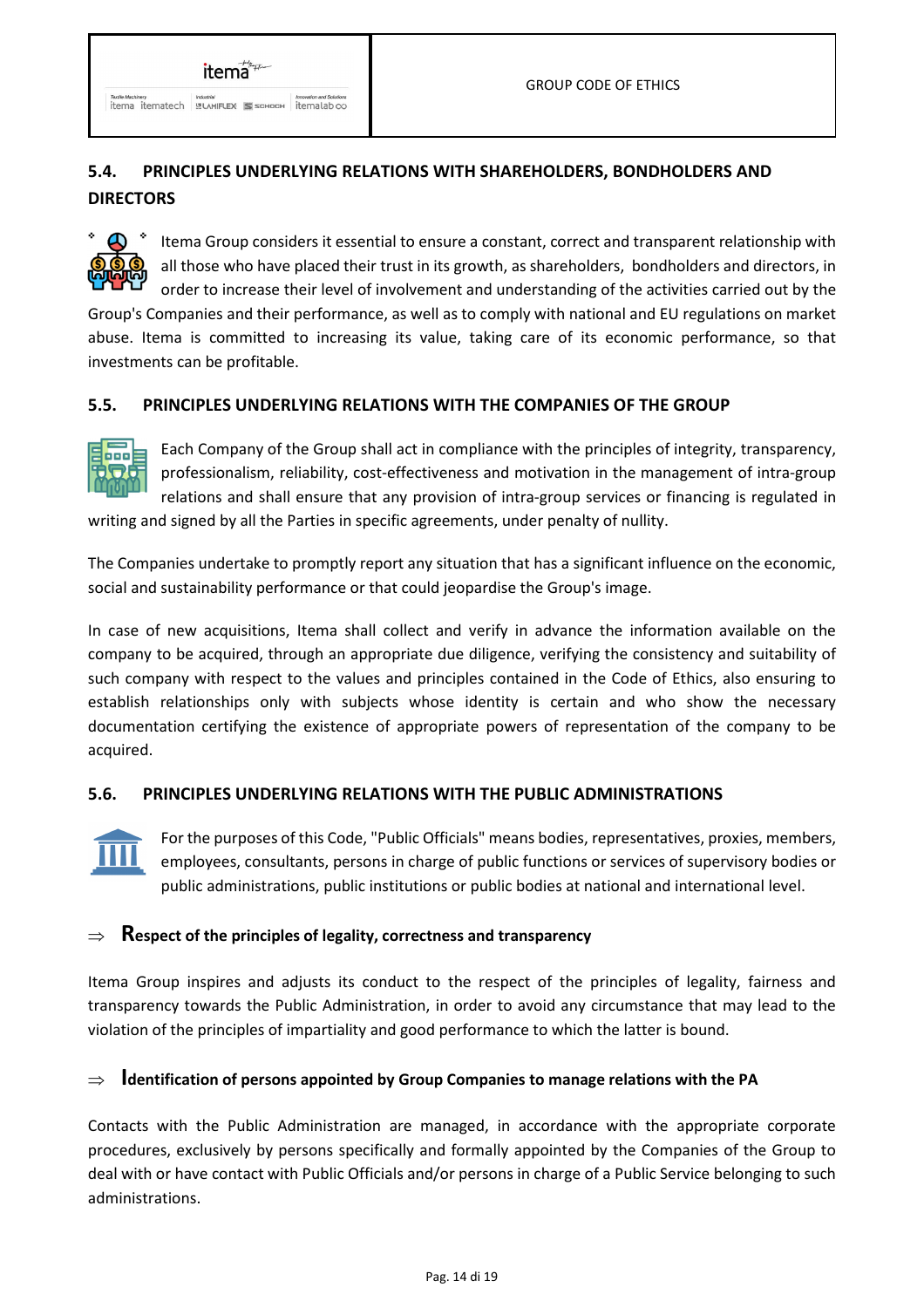

#### **5.4. PRINCIPLES UNDERLYING RELATIONS WITH SHAREHOLDERS, BONDHOLDERS AND DIRECTORS**



Itema Group considers it essential to ensure a constant, correct and transparent relationship with all those who have placed their trust in its growth, as shareholders, bondholders and directors, in order to increase their level of involvement and understanding of the activities carried out by the

Group's Companies and their performance, as well as to comply with national and EU regulations on market abuse. Itema is committed to increasing its value, taking care of its economic performance, so that investments can be profitable.

#### **5.5. PRINCIPLES UNDERLYING RELATIONS WITH THE COMPANIES OF THE GROUP**



Each Company of the Group shall act in compliance with the principles of integrity, transparency, professionalism, reliability, cost-effectiveness and motivation in the management of intra-group relations and shall ensure that any provision of intra-group services or financing is regulated in

writing and signed by all the Parties in specific agreements, under penalty of nullity.

The Companies undertake to promptly report any situation that has a significant influence on the economic, social and sustainability performance or that could jeopardise the Group's image.

In case of new acquisitions, Itema shall collect and verify in advance the information available on the company to be acquired, through an appropriate due diligence, verifying the consistency and suitability of such company with respect to the values and principles contained in the Code of Ethics, also ensuring to establish relationships only with subjects whose identity is certain and who show the necessary documentation certifying the existence of appropriate powers of representation of the company to be acquired.

#### **5.6. PRINCIPLES UNDERLYING RELATIONS WITH THE PUBLIC ADMINISTRATIONS**



For the purposes of this Code, "Public Officials" means bodies, representatives, proxies, members, employees, consultants, persons in charge of public functions or services of supervisory bodies or public administrations, public institutions or public bodies at national and international level.

#### **Respect of the principles of legality, correctness and transparency**

Itema Group inspires and adjusts its conduct to the respect of the principles of legality, fairness and transparency towards the Public Administration, in order to avoid any circumstance that may lead to the violation of the principles of impartiality and good performance to which the latter is bound.

#### **Identification of persons appointed by Group Companies to manage relations with the PA**

Contacts with the Public Administration are managed, in accordance with the appropriate corporate procedures, exclusively by persons specifically and formally appointed by the Companies of the Group to deal with or have contact with Public Officials and/or persons in charge of a Public Service belonging to such administrations.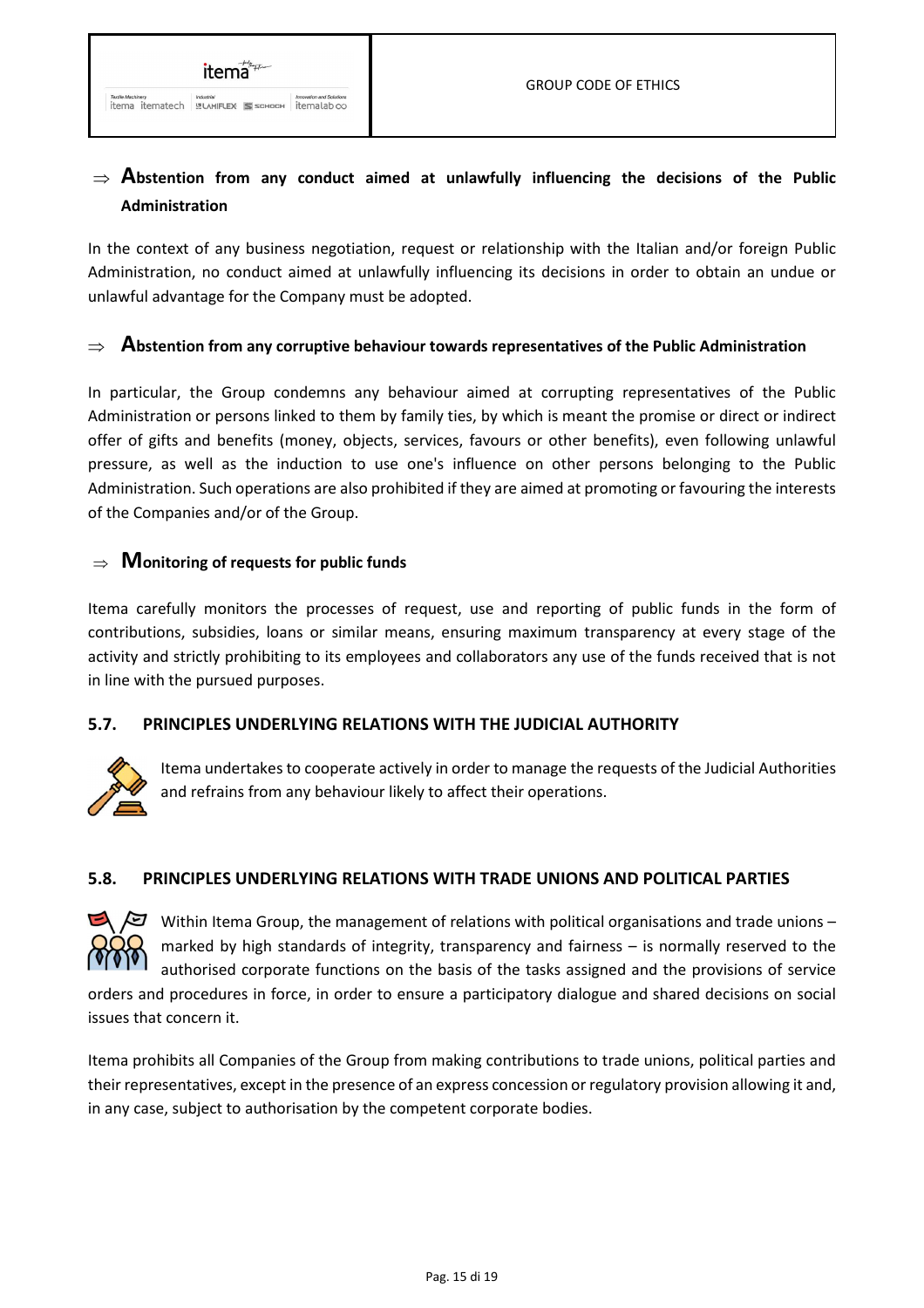#### $\Rightarrow$  **A**bstention from any conduct aimed at unlawfully influencing the decisions of the Public **Administration**

In the context of any business negotiation, request or relationship with the Italian and/or foreign Public Administration, no conduct aimed at unlawfully influencing its decisions in order to obtain an undue or unlawful advantage for the Company must be adopted.

#### $\Rightarrow$  **A**bstention from any corruptive behaviour towards representatives of the Public Administration

In particular, the Group condemns any behaviour aimed at corrupting representatives of the Public Administration or persons linked to them by family ties, by which is meant the promise or direct or indirect offer of gifts and benefits (money, objects, services, favours or other benefits), even following unlawful pressure, as well as the induction to use one's influence on other persons belonging to the Public Administration. Such operations are also prohibited if they are aimed at promoting or favouring the interests of the Companies and/or of the Group.

#### **Monitoring of requests for public funds**

Itema carefully monitors the processes of request, use and reporting of public funds in the form of contributions, subsidies, loans or similar means, ensuring maximum transparency at every stage of the activity and strictly prohibiting to its employees and collaborators any use of the funds received that is not in line with the pursued purposes.

#### **5.7. PRINCIPLES UNDERLYING RELATIONS WITH THE JUDICIAL AUTHORITY**



Itema undertakes to cooperate actively in order to manage the requests of the Judicial Authorities and refrains from any behaviour likely to affect their operations.

#### **5.8. PRINCIPLES UNDERLYING RELATIONS WITH TRADE UNIONS AND POLITICAL PARTIES**



Within Itema Group, the management of relations with political organisations and trade unions – marked by high standards of integrity, transparency and fairness – is normally reserved to the authorised corporate functions on the basis of the tasks assigned and the provisions of service

orders and procedures in force, in order to ensure a participatory dialogue and shared decisions on social issues that concern it.

Itema prohibits all Companies of the Group from making contributions to trade unions, political parties and their representatives, except in the presence of an express concession or regulatory provision allowing it and, in any case, subject to authorisation by the competent corporate bodies.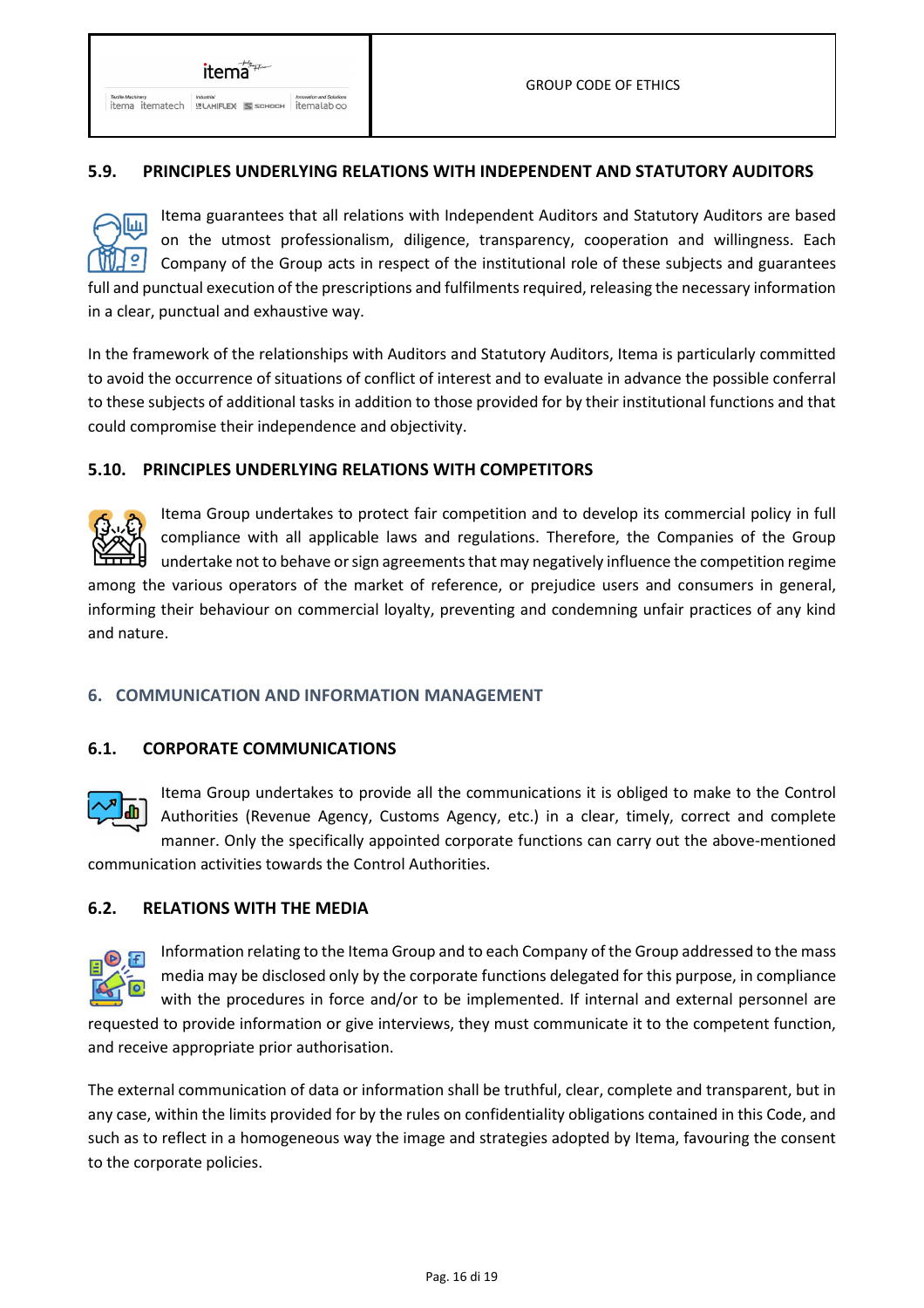

#### **5.9. PRINCIPLES UNDERLYING RELATIONS WITH INDEPENDENT AND STATUTORY AUDITORS**

Itema guarantees that all relations with Independent Auditors and Statutory Auditors are based lш on the utmost professionalism, diligence, transparency, cooperation and willingness. Each Company of the Group acts in respect of the institutional role of these subjects and guarantees full and punctual execution of the prescriptions and fulfilments required, releasing the necessary information in a clear, punctual and exhaustive way.

In the framework of the relationships with Auditors and Statutory Auditors, Itema is particularly committed to avoid the occurrence of situations of conflict of interest and to evaluate in advance the possible conferral to these subjects of additional tasks in addition to those provided for by their institutional functions and that could compromise their independence and objectivity.

#### **5.10. PRINCIPLES UNDERLYING RELATIONS WITH COMPETITORS**



Itema Group undertakes to protect fair competition and to develop its commercial policy in full compliance with all applicable laws and regulations. Therefore, the Companies of the Group undertake not to behave or sign agreements that may negatively influence the competition regime

among the various operators of the market of reference, or prejudice users and consumers in general, informing their behaviour on commercial loyalty, preventing and condemning unfair practices of any kind and nature.

#### **6. COMMUNICATION AND INFORMATION MANAGEMENT**

#### **6.1. CORPORATE COMMUNICATIONS**



Itema Group undertakes to provide all the communications it is obliged to make to the Control Authorities (Revenue Agency, Customs Agency, etc.) in a clear, timely, correct and complete manner. Only the specifically appointed corporate functions can carry out the above-mentioned

communication activities towards the Control Authorities.

#### **6.2. RELATIONS WITH THE MEDIA**



Information relating to the Itema Group and to each Company of the Group addressed to the mass media may be disclosed only by the corporate functions delegated for this purpose, in compliance with the procedures in force and/or to be implemented. If internal and external personnel are

requested to provide information or give interviews, they must communicate it to the competent function, and receive appropriate prior authorisation.

The external communication of data or information shall be truthful, clear, complete and transparent, but in any case, within the limits provided for by the rules on confidentiality obligations contained in this Code, and such as to reflect in a homogeneous way the image and strategies adopted by Itema, favouring the consent to the corporate policies.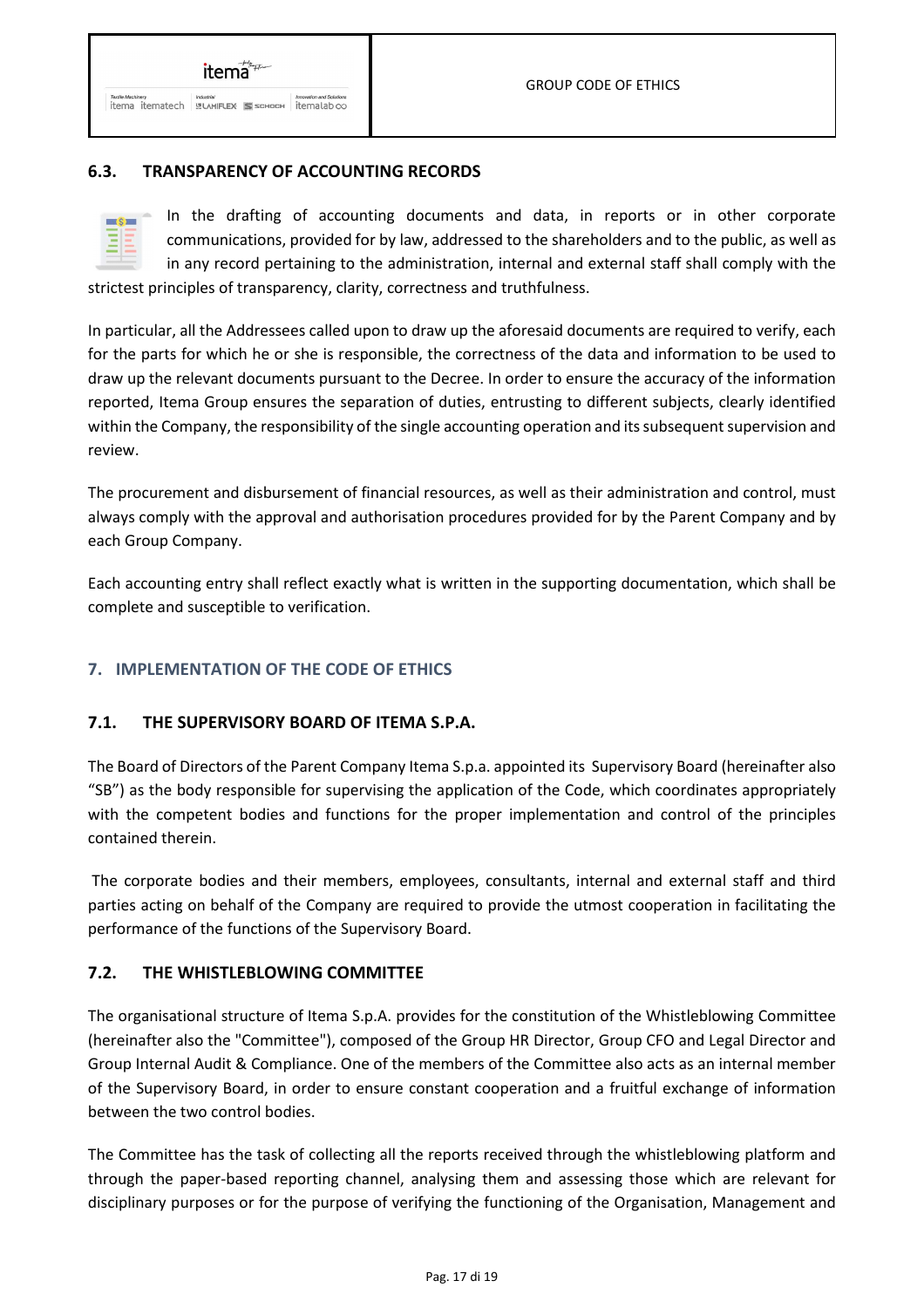

#### **6.3. TRANSPARENCY OF ACCOUNTING RECORDS**



In the drafting of accounting documents and data, in reports or in other corporate communications, provided for by law, addressed to the shareholders and to the public, as well as in any record pertaining to the administration, internal and external staff shall comply with the strictest principles of transparency, clarity, correctness and truthfulness.

In particular, all the Addressees called upon to draw up the aforesaid documents are required to verify, each for the parts for which he or she is responsible, the correctness of the data and information to be used to draw up the relevant documents pursuant to the Decree. In order to ensure the accuracy of the information reported, Itema Group ensures the separation of duties, entrusting to different subjects, clearly identified within the Company, the responsibility of the single accounting operation and its subsequent supervision and review.

The procurement and disbursement of financial resources, as well as their administration and control, must always comply with the approval and authorisation procedures provided for by the Parent Company and by each Group Company.

Each accounting entry shall reflect exactly what is written in the supporting documentation, which shall be complete and susceptible to verification.

#### **7. IMPLEMENTATION OF THE CODE OF ETHICS**

#### **7.1. THE SUPERVISORY BOARD OF ITEMA S.P.A.**

The Board of Directors of the Parent Company Itema S.p.a. appointed its Supervisory Board (hereinafter also "SB") as the body responsible for supervising the application of the Code, which coordinates appropriately with the competent bodies and functions for the proper implementation and control of the principles contained therein.

 The corporate bodies and their members, employees, consultants, internal and external staff and third parties acting on behalf of the Company are required to provide the utmost cooperation in facilitating the performance of the functions of the Supervisory Board.

#### **7.2. THE WHISTLEBLOWING COMMITTEE**

The organisational structure of Itema S.p.A. provides for the constitution of the Whistleblowing Committee (hereinafter also the "Committee"), composed of the Group HR Director, Group CFO and Legal Director and Group Internal Audit & Compliance. One of the members of the Committee also acts as an internal member of the Supervisory Board, in order to ensure constant cooperation and a fruitful exchange of information between the two control bodies.

The Committee has the task of collecting all the reports received through the whistleblowing platform and through the paper-based reporting channel, analysing them and assessing those which are relevant for disciplinary purposes or for the purpose of verifying the functioning of the Organisation, Management and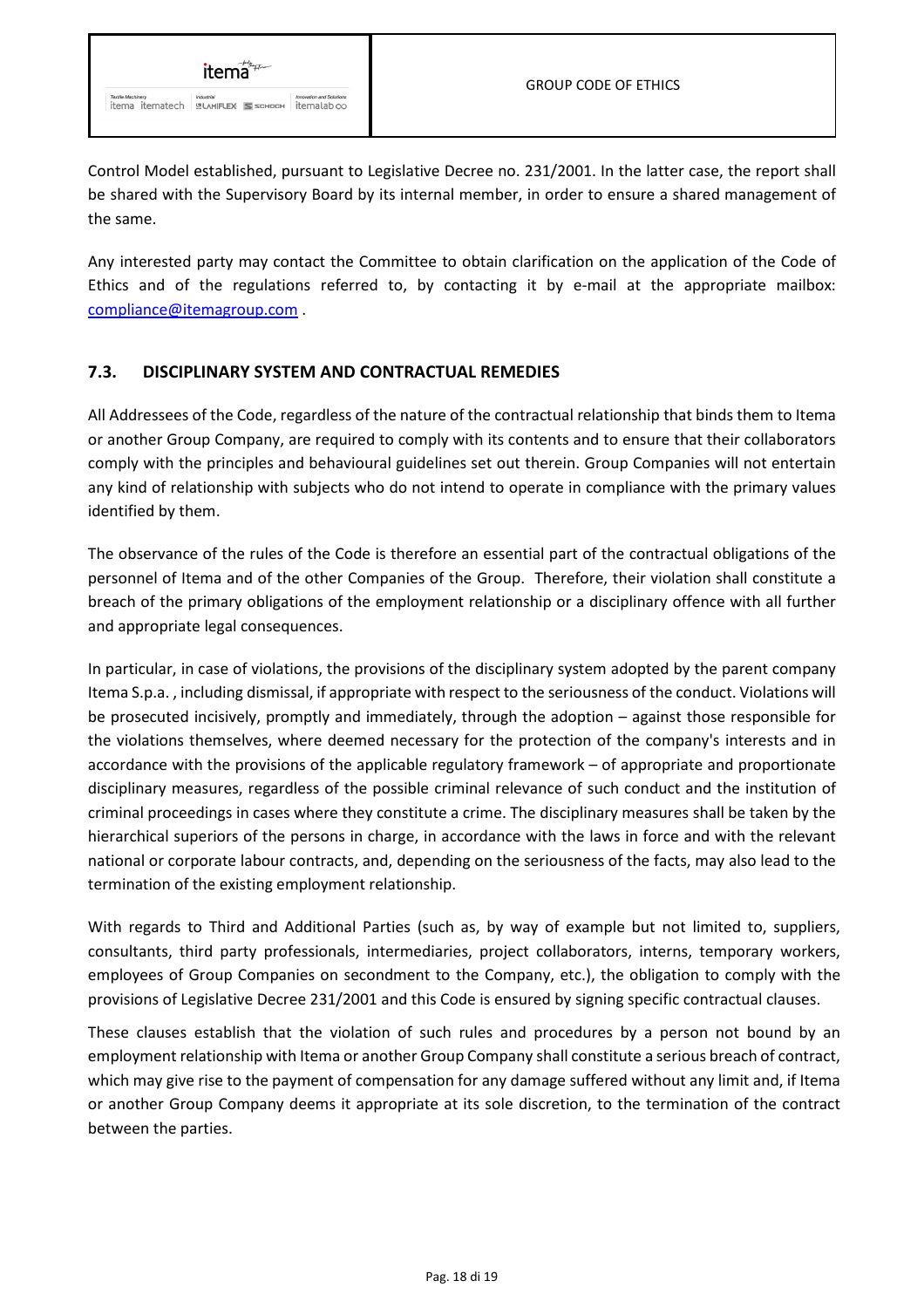Control Model established, pursuant to Legislative Decree no. 231/2001. In the latter case, the report shall be shared with the Supervisory Board by its internal member, in order to ensure a shared management of the same.

Any interested party may contact the Committee to obtain clarification on the application of the Code of Ethics and of the regulations referred to, by contacting it by e-mail at the appropriate mailbox: compliance@itemagroup.com .

#### **7.3. DISCIPLINARY SYSTEM AND CONTRACTUAL REMEDIES**

All Addressees of the Code, regardless of the nature of the contractual relationship that binds them to Itema or another Group Company, are required to comply with its contents and to ensure that their collaborators comply with the principles and behavioural guidelines set out therein. Group Companies will not entertain any kind of relationship with subjects who do not intend to operate in compliance with the primary values identified by them.

The observance of the rules of the Code is therefore an essential part of the contractual obligations of the personnel of Itema and of the other Companies of the Group. Therefore, their violation shall constitute a breach of the primary obligations of the employment relationship or a disciplinary offence with all further and appropriate legal consequences.

In particular, in case of violations, the provisions of the disciplinary system adopted by the parent company Itema S.p.a. , including dismissal, if appropriate with respect to the seriousness of the conduct. Violations will be prosecuted incisively, promptly and immediately, through the adoption – against those responsible for the violations themselves, where deemed necessary for the protection of the company's interests and in accordance with the provisions of the applicable regulatory framework – of appropriate and proportionate disciplinary measures, regardless of the possible criminal relevance of such conduct and the institution of criminal proceedings in cases where they constitute a crime. The disciplinary measures shall be taken by the hierarchical superiors of the persons in charge, in accordance with the laws in force and with the relevant national or corporate labour contracts, and, depending on the seriousness of the facts, may also lead to the termination of the existing employment relationship.

With regards to Third and Additional Parties (such as, by way of example but not limited to, suppliers, consultants, third party professionals, intermediaries, project collaborators, interns, temporary workers, employees of Group Companies on secondment to the Company, etc.), the obligation to comply with the provisions of Legislative Decree 231/2001 and this Code is ensured by signing specific contractual clauses.

These clauses establish that the violation of such rules and procedures by a person not bound by an employment relationship with Itema or another Group Company shall constitute a serious breach of contract, which may give rise to the payment of compensation for any damage suffered without any limit and, if Itema or another Group Company deems it appropriate at its sole discretion, to the termination of the contract between the parties.